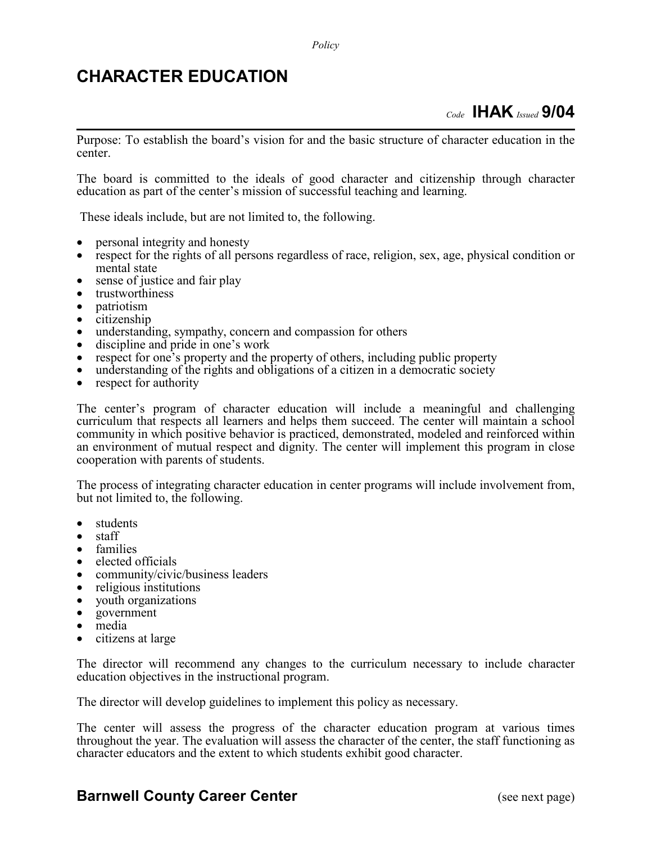## **CHARACTER EDUCATION**

Purpose: To establish the board's vision for and the basic structure of character education in the center.

The board is committed to the ideals of good character and citizenship through character education as part of the center's mission of successful teaching and learning.

These ideals include, but are not limited to, the following.

- 
- personal integrity and honesty respect for the rights of all persons regardless of race, religion, sex, age, physical condition or mental state • sense of justice and fair play • trustworthiness • patriotism • citizenship • understanding, sympathy, concern and compassion for others • discipline and pride in one's work • respect for one's property and the property of others, including public property • understanding of the rights and obligations of a citizen in a democratic society • respect for authority
- 
- 
- 
- 
- 
- 
- 
- 
- 

The center's program of character education will include a meaningful and challenging curriculum that respects all learners and helps them succeed. The center will maintain a school community in which positive behavior is practiced, demonstrated, modeled and reinforced within an environment of mutual respect and dignity. The center will implement this program in close cooperation with parents of students.

The process of integrating character education in center programs will include involvement from, but not limited to, the following.

- students
- staff
- families
- elected officials
- community/civic/business leaders
- religious institutions
- youth organizations
- government
- media
- citizens at large

The director will recommend any changes to the curriculum necessary to include character education objectives in the instructional program.

The director will develop guidelines to implement this policy as necessary.

The center will assess the progress of the character education program at various times throughout the year. The evaluation will assess the character of the center, the staff functioning as character educators and the extent to which students exhibit good character.

## **Barnwell County Career Center** (see next page)